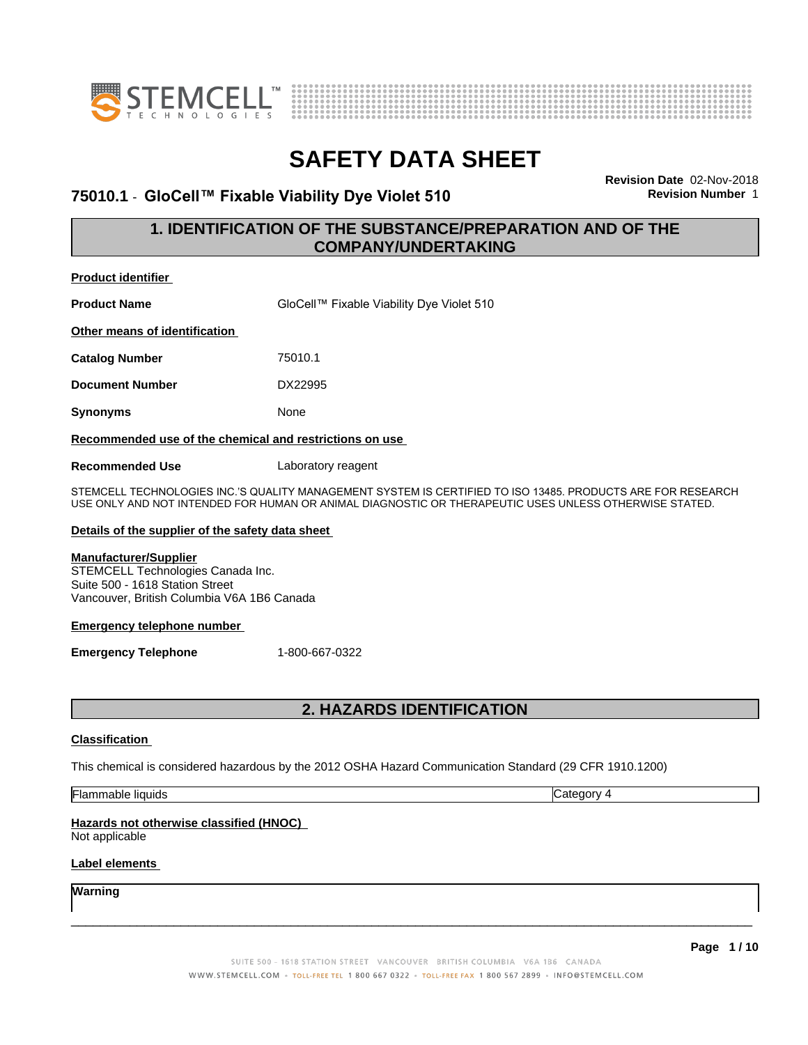



### **75010.1** - **GloCell™ FixableViabilityDyeViolet510 Revision Number** 1

**Revision Date** 02-Nov-2018

### **1. IDENTIFICATION OF THE SUBSTANCE/PREPARATION AND OF THE COMPANY/UNDERTAKING**

| <b>Product identifier</b>                                                                                                                                                                                            |         |  |  |  |
|----------------------------------------------------------------------------------------------------------------------------------------------------------------------------------------------------------------------|---------|--|--|--|
| <b>Product Name</b><br>GloCell™ Fixable Viability Dye Violet 510                                                                                                                                                     |         |  |  |  |
| Other means of identification                                                                                                                                                                                        |         |  |  |  |
| <b>Catalog Number</b>                                                                                                                                                                                                | 75010.1 |  |  |  |
| DX22995<br><b>Document Number</b>                                                                                                                                                                                    |         |  |  |  |
| Synonyms<br>None                                                                                                                                                                                                     |         |  |  |  |
| Recommended use of the chemical and restrictions on use                                                                                                                                                              |         |  |  |  |
| <b>Recommended Use</b><br>Laboratory reagent                                                                                                                                                                         |         |  |  |  |
| STEMCELL TECHNOLOGIES INC.'S QUALITY MANAGEMENT SYSTEM IS CERTIFIED TO ISO 13485. PRODUCTS ARE FOR RESEARCH<br>USE ONLY AND NOT INTENDED FOR HUMAN OR ANIMAL DIAGNOSTIC OR THERAPEUTIC USES UNLESS OTHERWISE STATED. |         |  |  |  |
| Details of the supplier of the safety data sheet                                                                                                                                                                     |         |  |  |  |

### **Manufacturer/Supplier**

STEMCELL Technologies Canada Inc. Suite 500 - 1618 Station Street Vancouver, British Columbia V6A 1B6 Canada

### **Emergency telephone number**

**Emergency Telephone** 1-800-667-0322

### **2. HAZARDS IDENTIFICATION**

### **Classification**

This chemical is considered hazardous by the 2012 OSHA Hazard Communication Standard (29 CFR 1910.1200)

Flammable liquids Category 4

### **Hazards not otherwise classified (HNOC)**

Not applicable

### **Label elements**

**Warning**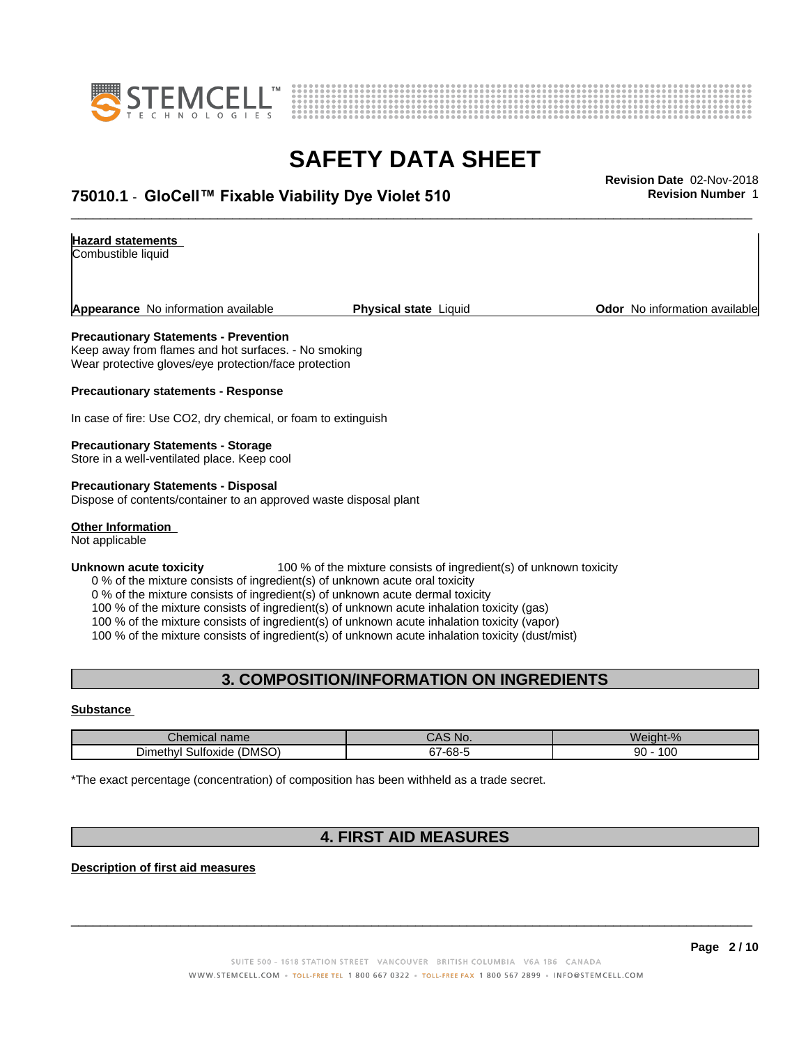



# **SAFETY DATA SHEET**<br>Revision Date 02-Nov-2018

### \_\_\_\_\_\_\_\_\_\_\_\_\_\_\_\_\_\_\_\_\_\_\_\_\_\_\_\_\_\_\_\_\_\_\_\_\_\_\_\_\_\_\_\_\_\_\_\_\_\_\_\_\_\_\_\_\_\_\_\_\_\_\_\_\_\_\_\_\_\_\_\_\_\_\_\_\_\_\_\_\_\_\_\_\_\_\_\_\_\_\_\_\_ **Revision Date** 02-Nov-2018 **75010.1** - **GloCell™ FixableViabilityDyeViolet510 Revision Number** 1

### **Hazard statements**

Combustible liquid

**Appearance** No information available **Physical state** Liquid **Department Constant Community Odor** No information available

#### **Precautionary Statements - Prevention**

Keep away from flames and hot surfaces. - No smoking Wear protective gloves/eye protection/face protection

**Precautionary statements - Response**

In case of fire: Use CO2, dry chemical, or foam to extinguish

#### **Precautionary Statements - Storage**

Store in a well-ventilated place. Keep cool

**Precautionary Statements - Disposal** Dispose of contents/container to an approved waste disposal plant

### **Other Information**

Not applicable

#### **Unknown acute toxicity** 100 % of the mixture consists of ingredient(s) of unknown toxicity

0 % of the mixture consists of ingredient(s) of unknown acute oral toxicity

0 % of the mixture consists of ingredient(s) of unknown acute dermal toxicity

100 % of the mixture consists of ingredient(s) of unknown acute inhalation toxicity (gas)

100 % of the mixture consists of ingredient(s) of unknown acute inhalation toxicity (vapor)

100 % of the mixture consists of ingredient(s) of unknown acute inhalation toxicity (dust/mist)

### **3. COMPOSITION/INFORMATION ON INGREDIENTS**

#### **Substance**

| cal name<br>ner                                                   | $\mathbf{v}$<br>N۱۰<br>1 Y V | $\overline{\phantom{a}}$<br>W۷. |  |
|-------------------------------------------------------------------|------------------------------|---------------------------------|--|
| <b>DMSO</b><br>$\overline{\phantom{a}}$<br>ulfoxide (<br>⊃imethvi | $\sim$<br>-68-<br>·uu        | 0 <sup>c</sup><br>90            |  |

\*The exact percentage (concentration) of composition has been withheld as a trade secret.

### **4. FIRST AID MEASURES**

**Description of first aid measures**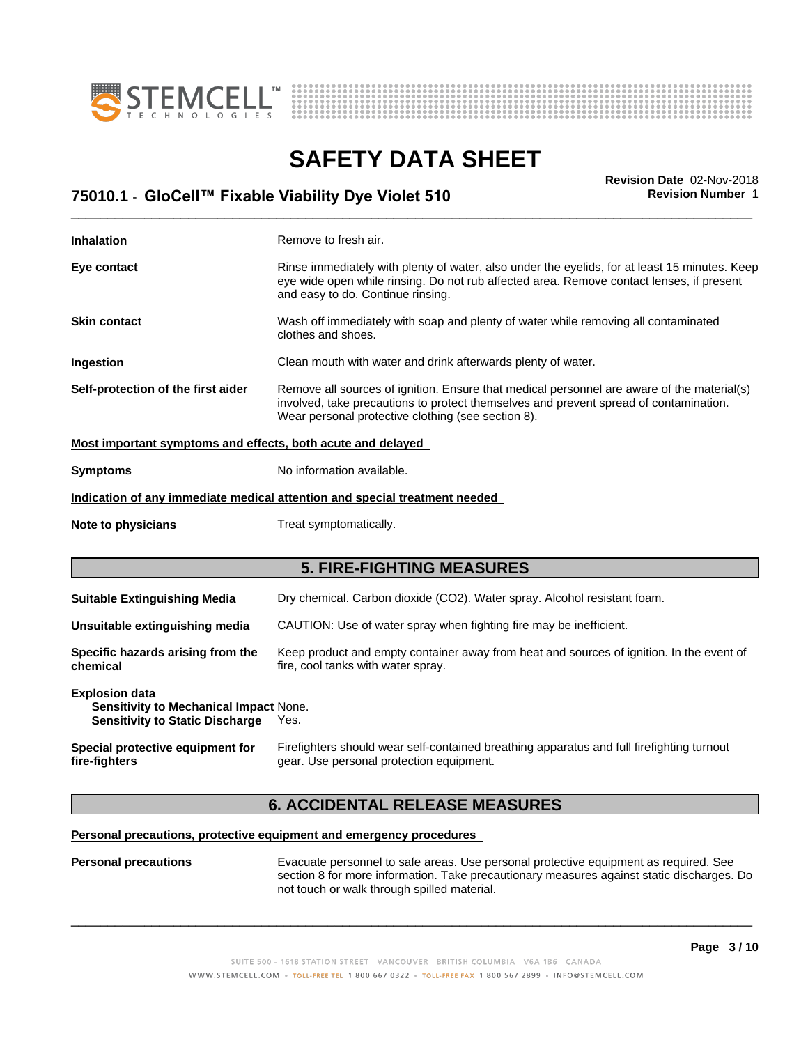



# **SAFETY DATA SHEET**<br>Revision Date 02-Nov-2018

| <b>Revision Number 1</b><br>75010.1 - GloCell™ Fixable Viability Dye Violet 510 | <b>Revision Date 02-Nov-2018</b> |
|---------------------------------------------------------------------------------|----------------------------------|
|                                                                                 |                                  |

| <b>Inhalation</b>                                                                                         | Remove to fresh air.                                                                                                                                                                                                                      |  |  |  |
|-----------------------------------------------------------------------------------------------------------|-------------------------------------------------------------------------------------------------------------------------------------------------------------------------------------------------------------------------------------------|--|--|--|
| Eye contact                                                                                               | Rinse immediately with plenty of water, also under the eyelids, for at least 15 minutes. Keep<br>eye wide open while rinsing. Do not rub affected area. Remove contact lenses, if present<br>and easy to do. Continue rinsing.            |  |  |  |
| <b>Skin contact</b>                                                                                       | Wash off immediately with soap and plenty of water while removing all contaminated<br>clothes and shoes.                                                                                                                                  |  |  |  |
| Ingestion                                                                                                 | Clean mouth with water and drink afterwards plenty of water.                                                                                                                                                                              |  |  |  |
| Self-protection of the first aider                                                                        | Remove all sources of ignition. Ensure that medical personnel are aware of the material(s)<br>involved, take precautions to protect themselves and prevent spread of contamination.<br>Wear personal protective clothing (see section 8). |  |  |  |
| Most important symptoms and effects, both acute and delayed                                               |                                                                                                                                                                                                                                           |  |  |  |
| No information available.<br><b>Symptoms</b>                                                              |                                                                                                                                                                                                                                           |  |  |  |
| Indication of any immediate medical attention and special treatment needed                                |                                                                                                                                                                                                                                           |  |  |  |
|                                                                                                           |                                                                                                                                                                                                                                           |  |  |  |
| Note to physicians                                                                                        | Treat symptomatically.                                                                                                                                                                                                                    |  |  |  |
|                                                                                                           | <b>5. FIRE-FIGHTING MEASURES</b>                                                                                                                                                                                                          |  |  |  |
| <b>Suitable Extinguishing Media</b>                                                                       | Dry chemical. Carbon dioxide (CO2). Water spray. Alcohol resistant foam.                                                                                                                                                                  |  |  |  |
| Unsuitable extinguishing media                                                                            | CAUTION: Use of water spray when fighting fire may be inefficient.                                                                                                                                                                        |  |  |  |
| Specific hazards arising from the<br>chemical                                                             | Keep product and empty container away from heat and sources of ignition. In the event of<br>fire, cool tanks with water spray.                                                                                                            |  |  |  |
| <b>Explosion data</b><br>Sensitivity to Mechanical Impact None.<br><b>Sensitivity to Static Discharge</b> | Yes.                                                                                                                                                                                                                                      |  |  |  |

### **6. ACCIDENTAL RELEASE MEASURES**

### **Personal precautions, protective equipment and emergency procedures**

**Personal precautions** Evacuate personnel to safe areas. Use personal protective equipment as required.See section 8 for more information. Take precautionary measures against static discharges. Do not touch or walk through spilled material.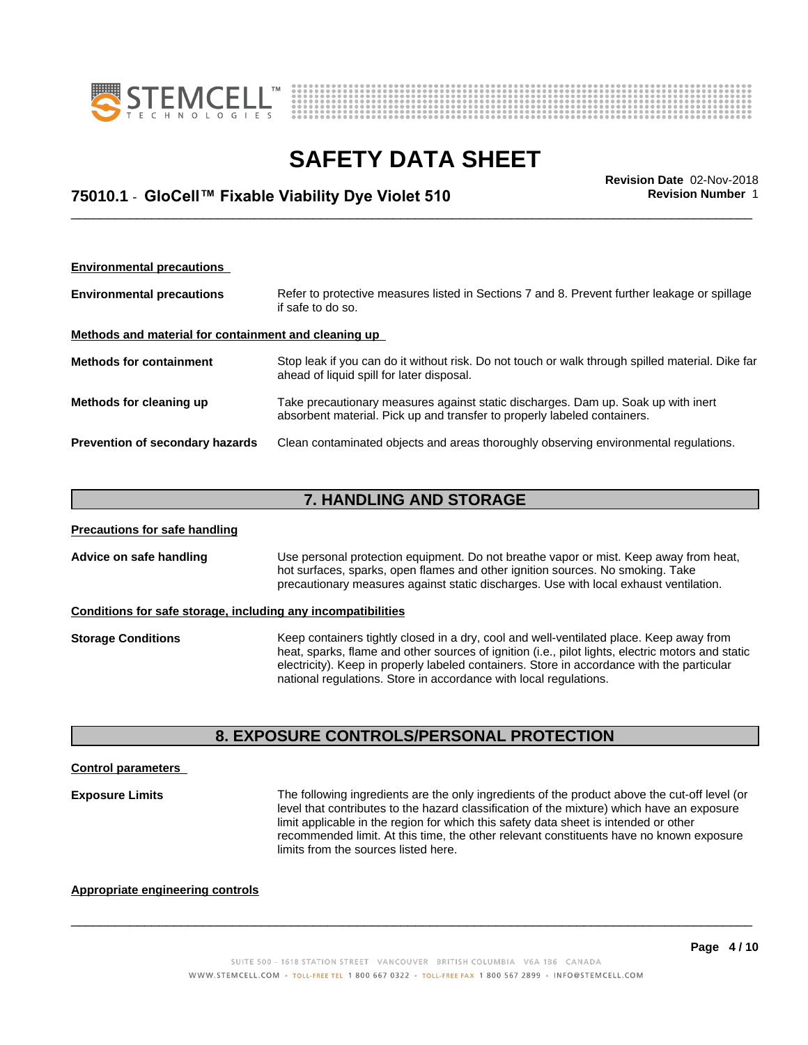



### \_\_\_\_\_\_\_\_\_\_\_\_\_\_\_\_\_\_\_\_\_\_\_\_\_\_\_\_\_\_\_\_\_\_\_\_\_\_\_\_\_\_\_\_\_\_\_\_\_\_\_\_\_\_\_\_\_\_\_\_\_\_\_\_\_\_\_\_\_\_\_\_\_\_\_\_\_\_\_\_\_\_\_\_\_\_\_\_\_\_\_\_\_ **Revision Date** 02-Nov-2018 **75010.1** - **GloCell™ FixableViabilityDyeViolet510 Revision Number** 1

| <b>Environmental precautions</b>                     |                                                                                                                                                               |  |  |  |
|------------------------------------------------------|---------------------------------------------------------------------------------------------------------------------------------------------------------------|--|--|--|
| <b>Environmental precautions</b>                     | Refer to protective measures listed in Sections 7 and 8. Prevent further leakage or spillage<br>if safe to do so.                                             |  |  |  |
| Methods and material for containment and cleaning up |                                                                                                                                                               |  |  |  |
| <b>Methods for containment</b>                       | Stop leak if you can do it without risk. Do not touch or walk through spilled material. Dike far<br>ahead of liquid spill for later disposal.                 |  |  |  |
| Methods for cleaning up                              | Take precautionary measures against static discharges. Dam up. Soak up with inert<br>absorbent material. Pick up and transfer to properly labeled containers. |  |  |  |
| Prevention of secondary hazards                      | Clean contaminated objects and areas thoroughly observing environmental regulations.                                                                          |  |  |  |

### **7. HANDLING AND STORAGE**

| <b>Precautions for safe handling</b>                                                                                                                                                                                                                                                        |                                                                                                                                                                                                                                                                                                                                                                 |  |  |
|---------------------------------------------------------------------------------------------------------------------------------------------------------------------------------------------------------------------------------------------------------------------------------------------|-----------------------------------------------------------------------------------------------------------------------------------------------------------------------------------------------------------------------------------------------------------------------------------------------------------------------------------------------------------------|--|--|
| Advice on safe handling<br>Use personal protection equipment. Do not breathe vapor or mist. Keep away from heat,<br>hot surfaces, sparks, open flames and other ignition sources. No smoking. Take<br>precautionary measures against static discharges. Use with local exhaust ventilation. |                                                                                                                                                                                                                                                                                                                                                                 |  |  |
|                                                                                                                                                                                                                                                                                             | Conditions for safe storage, including any incompatibilities                                                                                                                                                                                                                                                                                                    |  |  |
| <b>Storage Conditions</b>                                                                                                                                                                                                                                                                   | Keep containers tightly closed in a dry, cool and well-ventilated place. Keep away from<br>heat, sparks, flame and other sources of ignition (i.e., pilot lights, electric motors and static<br>electricity). Keep in properly labeled containers. Store in accordance with the particular<br>national regulations. Store in accordance with local regulations. |  |  |

### **8. EXPOSURE CONTROLS/PERSONAL PROTECTION**

### **Control parameters**

**Exposure Limits** The following ingredients are the only ingredients of the product above the cut-off level (or level that contributes to the hazard classification of the mixture) which have an exposure limit applicable in the region for which this safety data sheet is intended or other recommended limit. At this time, the other relevant constituents have no known exposure limits from the sources listed here.

 $\overline{\phantom{a}}$  ,  $\overline{\phantom{a}}$  ,  $\overline{\phantom{a}}$  ,  $\overline{\phantom{a}}$  ,  $\overline{\phantom{a}}$  ,  $\overline{\phantom{a}}$  ,  $\overline{\phantom{a}}$  ,  $\overline{\phantom{a}}$  ,  $\overline{\phantom{a}}$  ,  $\overline{\phantom{a}}$  ,  $\overline{\phantom{a}}$  ,  $\overline{\phantom{a}}$  ,  $\overline{\phantom{a}}$  ,  $\overline{\phantom{a}}$  ,  $\overline{\phantom{a}}$  ,  $\overline{\phantom{a}}$ 

### **Appropriate engineering controls**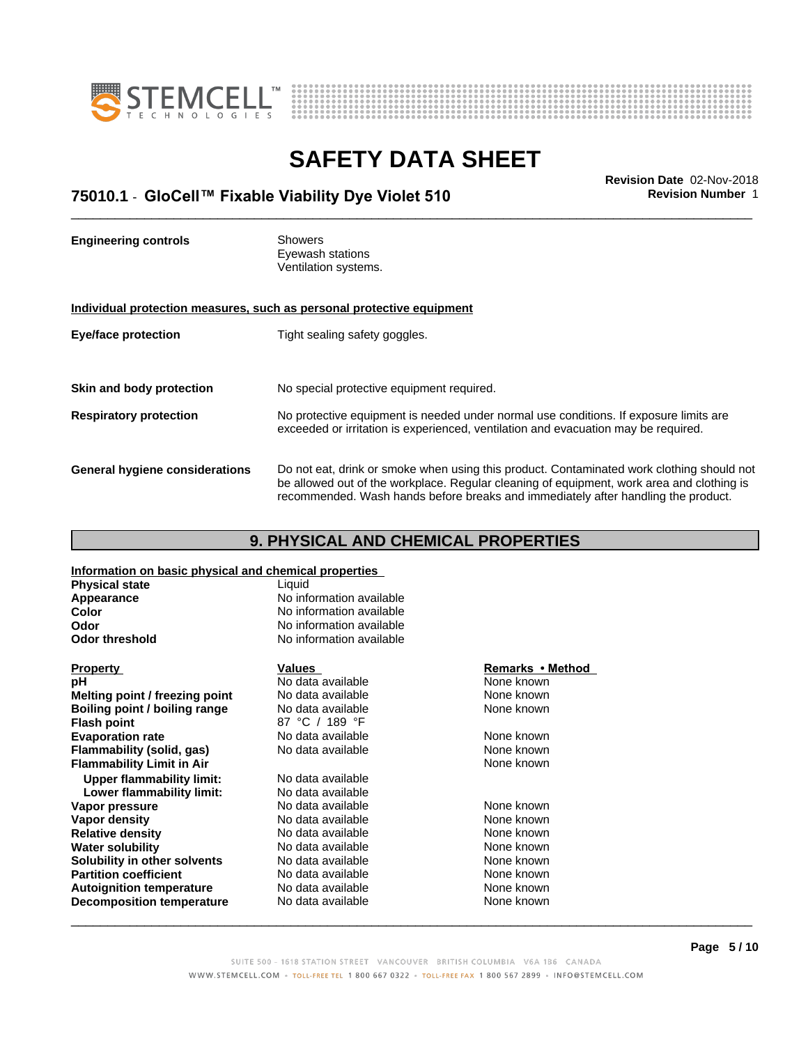



### \_\_\_\_\_\_\_\_\_\_\_\_\_\_\_\_\_\_\_\_\_\_\_\_\_\_\_\_\_\_\_\_\_\_\_\_\_\_\_\_\_\_\_\_\_\_\_\_\_\_\_\_\_\_\_\_\_\_\_\_\_\_\_\_\_\_\_\_\_\_\_\_\_\_\_\_\_\_\_\_\_\_\_\_\_\_\_\_\_\_\_\_\_ **Revision Date** 02-Nov-2018 **75010.1** - **GloCell™ FixableViabilityDyeViolet510 Revision Number** 1

**Engineering controls** Showers Eyewash stations Ventilation systems. **Individual protection measures, such as personal protective equipment Eye/face protection** Tight sealing safety goggles. **Skin and body protection** No special protective equipment required. **Respiratory protection** No protective equipment is needed under normal use conditions. If exposure limits are exceeded or irritation is experienced, ventilation and evacuation may be required. **General hygiene considerations** Do not eat, drink or smoke when using this product. Contaminated work clothing should not be allowed out of the workplace. Regular cleaning of equipment, work area and clothing is recommended. Wash hands before breaks and immediately after handling the product.

### **9. PHYSICAL AND CHEMICAL PROPERTIES**

**Information on basic physical and chemical properties**

| <b>Physical state</b>            | Liquid                   |                  |  |
|----------------------------------|--------------------------|------------------|--|
| Appearance                       | No information available |                  |  |
| Color                            | No information available |                  |  |
| <b>Odor</b>                      | No information available |                  |  |
| <b>Odor threshold</b>            | No information available |                  |  |
| <b>Property</b>                  | Values                   | Remarks • Method |  |
| рH                               | No data available        | None known       |  |
| Melting point / freezing point   | No data available        | None known       |  |
| Boiling point / boiling range    | No data available        | None known       |  |
| <b>Flash point</b>               | 87 °C / 189 °F           |                  |  |
| <b>Evaporation rate</b>          | No data available        | None known       |  |
| Flammability (solid, gas)        | No data available        | None known       |  |
| <b>Flammability Limit in Air</b> |                          | None known       |  |
| <b>Upper flammability limit:</b> | No data available        |                  |  |
| Lower flammability limit:        | No data available        |                  |  |
| Vapor pressure                   | No data available        | None known       |  |
| Vapor density                    | No data available        | None known       |  |
| <b>Relative density</b>          | No data available        | None known       |  |
| <b>Water solubility</b>          | No data available        | None known       |  |
| Solubility in other solvents     | No data available        | None known       |  |
| <b>Partition coefficient</b>     | No data available        | None known       |  |
| <b>Autoignition temperature</b>  | No data available        | None known       |  |
| <b>Decomposition temperature</b> | No data available        | None known       |  |
|                                  |                          |                  |  |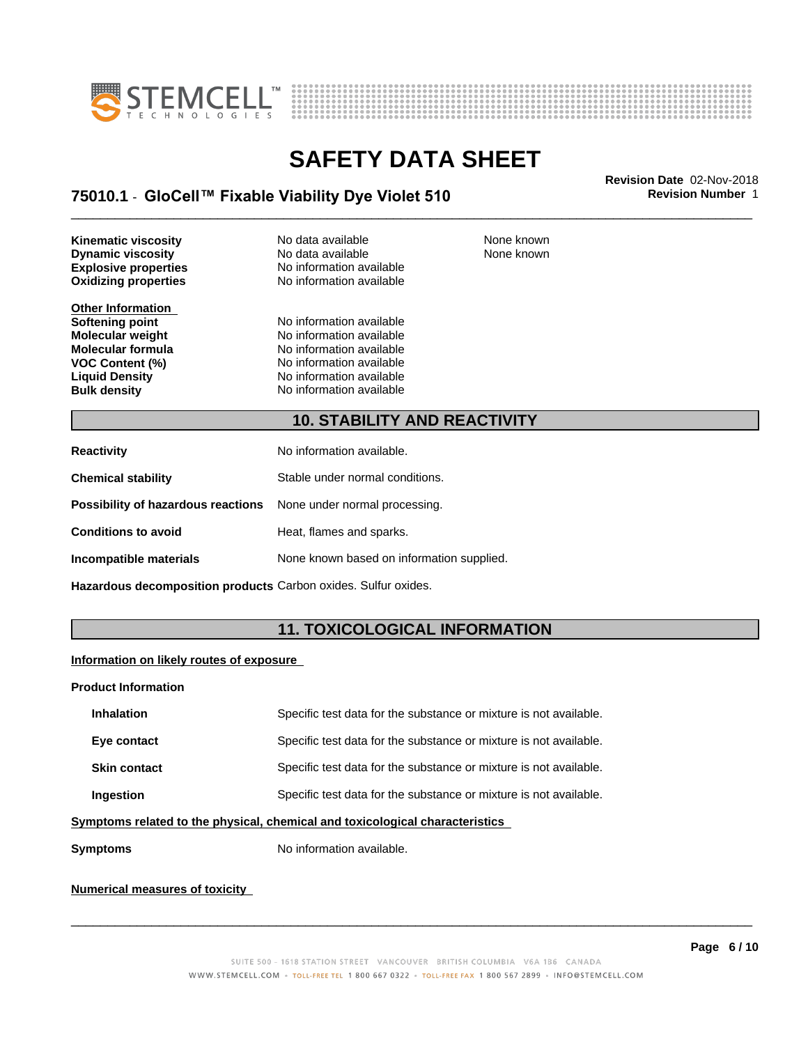



### \_\_\_\_\_\_\_\_\_\_\_\_\_\_\_\_\_\_\_\_\_\_\_\_\_\_\_\_\_\_\_\_\_\_\_\_\_\_\_\_\_\_\_\_\_\_\_\_\_\_\_\_\_\_\_\_\_\_\_\_\_\_\_\_\_\_\_\_\_\_\_\_\_\_\_\_\_\_\_\_\_\_\_\_\_\_\_\_\_\_\_\_\_ **Revision Date** 02-Nov-2018 **75010.1** - **GloCell™ FixableViabilityDyeViolet510 Revision Number** 1

**Oxidizing properties Kinematic viscosity No data available None known Dynamic viscosity** No data available

**Other Information**

**Explosive properties**<br> **Oxidizing properties**<br>
No information available

**Softening point**<br> **Molecular weight**<br> **Molecular weight**<br> **Molecular weight**<br> **Molecular weight Molecular weight Molecular is a structure of the No information available Molecular formula Molecular System Molecular formula** No information available<br> **VOC Content (%)** No information available **VOC Content (%)**<br> **Liquid Density**<br> **No information available Liquid Density No information available**<br> **Bulk density No information available No information available**  None known

### **10. STABILITY AND REACTIVITY**

| <b>Reactivity</b>                                                       | No information available.                 |
|-------------------------------------------------------------------------|-------------------------------------------|
| <b>Chemical stability</b>                                               | Stable under normal conditions.           |
| <b>Possibility of hazardous reactions</b> None under normal processing. |                                           |
| <b>Conditions to avoid</b>                                              | Heat, flames and sparks.                  |
| Incompatible materials                                                  | None known based on information supplied. |

**Hazardous decomposition products** Carbon oxides. Sulfur oxides.

### **11. TOXICOLOGICAL INFORMATION**

### **Information on likely routes of exposure**

#### **Product Information**

| <b>Inhalation</b>                                                            | Specific test data for the substance or mixture is not available. |  |
|------------------------------------------------------------------------------|-------------------------------------------------------------------|--|
| Eye contact                                                                  | Specific test data for the substance or mixture is not available. |  |
| <b>Skin contact</b>                                                          | Specific test data for the substance or mixture is not available. |  |
| <b>Ingestion</b>                                                             | Specific test data for the substance or mixture is not available. |  |
| umptama xalatad ta tha phugiaal, ahamigal and taylaalagigal ahaxaatayigtiga. |                                                                   |  |

#### **Symptoms related to the physical,chemical and toxicological characteristics**

**Symptoms** No information available.

### **Numerical measures of toxicity**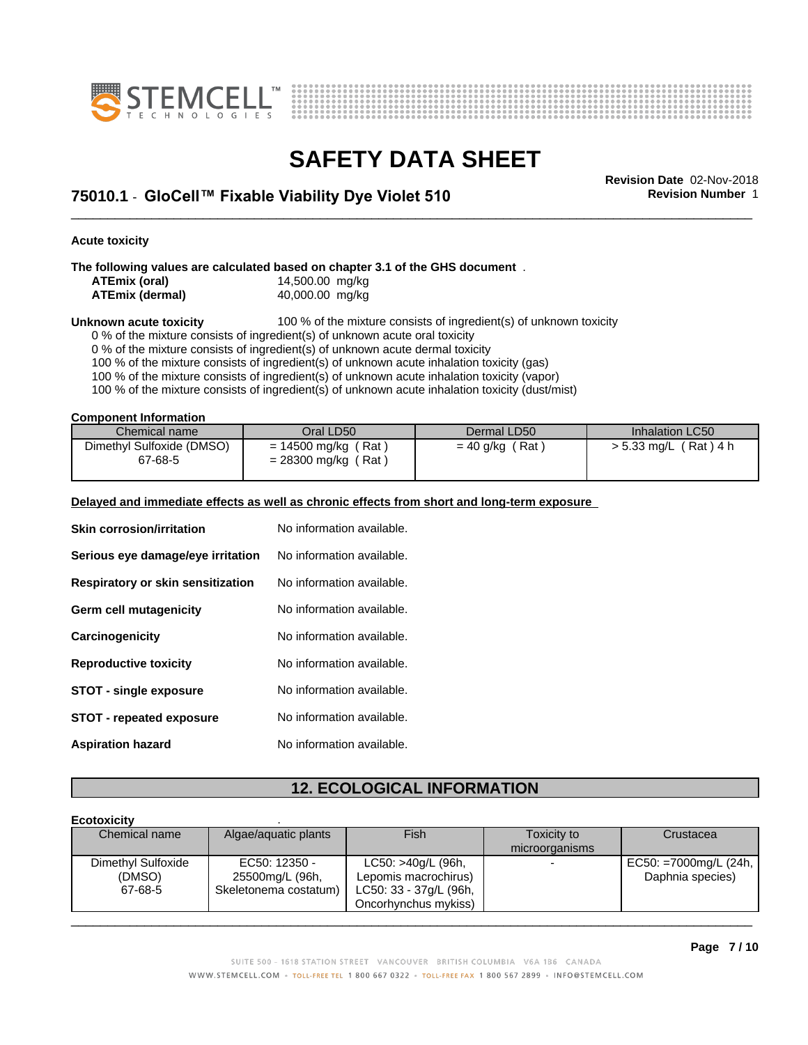



\_\_\_\_\_\_\_\_\_\_\_\_\_\_\_\_\_\_\_\_\_\_\_\_\_\_\_\_\_\_\_\_\_\_\_\_\_\_\_\_\_\_\_\_\_\_\_\_\_\_\_\_\_\_\_\_\_\_\_\_\_\_\_\_\_\_\_\_\_\_\_\_\_\_\_\_\_\_\_\_\_\_\_\_\_\_\_\_\_\_\_\_\_ **Revision Date** 02-Nov-2018 **75010.1** - **GloCell™ FixableViabilityDyeViolet510 Revision Number** 1

**Acute toxicity**

**The following values are calculated based on chapter 3.1 of the GHS document** .

| ATEmix (oral)          | 14,500.00 mg/kg |  |
|------------------------|-----------------|--|
| <b>ATEmix (dermal)</b> | 40,000.00 mg/kg |  |

**Unknown acute toxicity** 100 % of the mixture consists of ingredient(s) of unknown toxicity

0 % of the mixture consists of ingredient(s) of unknown acute oral toxicity

0 % of the mixture consists of ingredient(s) of unknown acute dermal toxicity

100 % of the mixture consists of ingredient(s) of unknown acute inhalation toxicity (gas)

100 % of the mixture consists of ingredient(s) of unknown acute inhalation toxicity (vapor)

100 % of the mixture consists of ingredient(s) of unknown acute inhalation toxicity (dust/mist)

**Component Information**

| Chemical name                        | Oral LD50                                                  | Dermal LD50            | Inhalation LC50         |
|--------------------------------------|------------------------------------------------------------|------------------------|-------------------------|
| Dimethyl Sulfoxide (DMSO)<br>67-68-5 | (Rat<br>$= 14500$ mg/kg (<br>$'$ Rat,<br>$= 28300$ mg/kg ( | (Rat)<br>$= 40$ g/kg ( | 「Rat)4 h<br>> 5.33 mg/L |

#### **Delayed and immediate effects as well as chronic effects from short and long-term exposure**

| <b>Skin corrosion/irritation</b>  | No information available. |  |
|-----------------------------------|---------------------------|--|
| Serious eye damage/eye irritation | No information available. |  |
| Respiratory or skin sensitization | No information available. |  |
| Germ cell mutagenicity            | No information available. |  |
| Carcinogenicity                   | No information available. |  |
| <b>Reproductive toxicity</b>      | No information available. |  |
| <b>STOT - single exposure</b>     | No information available. |  |
| <b>STOT - repeated exposure</b>   | No information available. |  |
| <b>Aspiration hazard</b>          | No information available. |  |

### **12. ECOLOGICAL INFORMATION**

#### **Ecotoxicity** . Chemical name Algae/aquatic plants Fish Fish Toxicity to microorganisms **Crustacea** Dimethyl Sulfoxide (DMSO) 67-68-5 Skeletonema costatum) EC50: 12350 - 25500mg/L (96h, LC50: >40g/L (96h, Lepomis macrochirus) LC50: 33 - 37g/L (96h, Oncorhynchus mykiss) EC50: =7000mg/L (24h, Daphnia species)  $\overline{\phantom{a}}$  ,  $\overline{\phantom{a}}$  ,  $\overline{\phantom{a}}$  ,  $\overline{\phantom{a}}$  ,  $\overline{\phantom{a}}$  ,  $\overline{\phantom{a}}$  ,  $\overline{\phantom{a}}$  ,  $\overline{\phantom{a}}$  ,  $\overline{\phantom{a}}$  ,  $\overline{\phantom{a}}$  ,  $\overline{\phantom{a}}$  ,  $\overline{\phantom{a}}$  ,  $\overline{\phantom{a}}$  ,  $\overline{\phantom{a}}$  ,  $\overline{\phantom{a}}$  ,  $\overline{\phantom{a}}$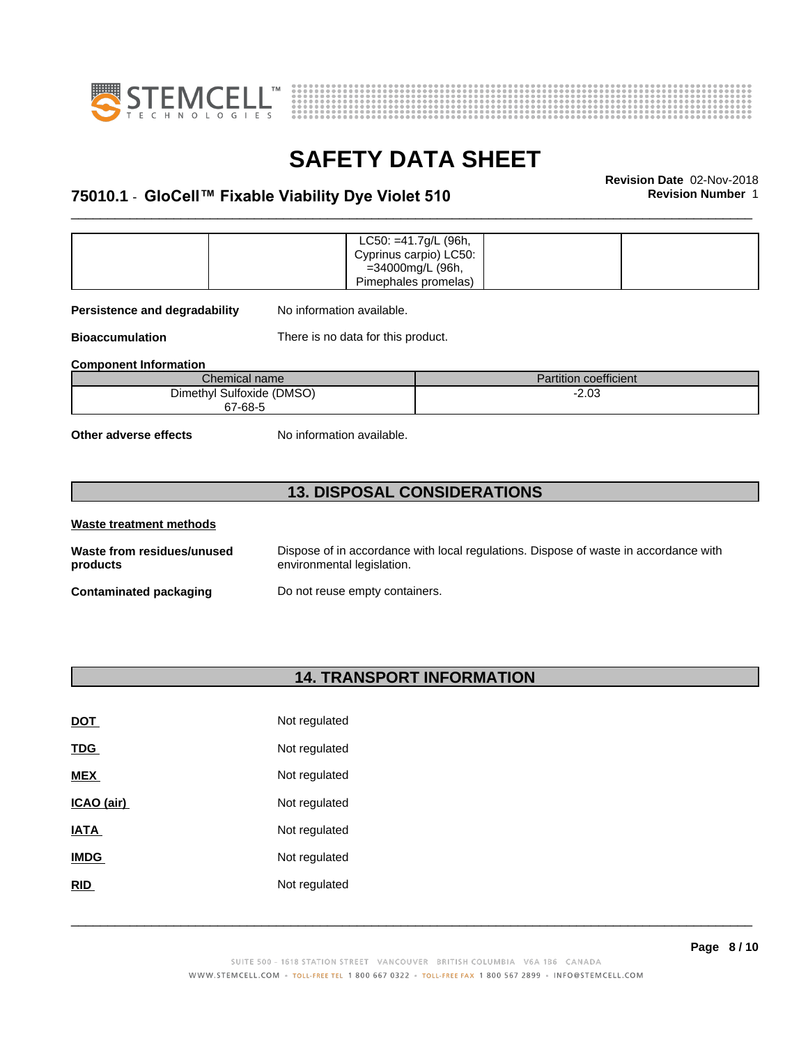



### \_\_\_\_\_\_\_\_\_\_\_\_\_\_\_\_\_\_\_\_\_\_\_\_\_\_\_\_\_\_\_\_\_\_\_\_\_\_\_\_\_\_\_\_\_\_\_\_\_\_\_\_\_\_\_\_\_\_\_\_\_\_\_\_\_\_\_\_\_\_\_\_\_\_\_\_\_\_\_\_\_\_\_\_\_\_\_\_\_\_\_\_\_ **Revision Date** 02-Nov-2018 **75010.1** - **GloCell™ FixableViabilityDyeViolet510 Revision Number** 1

|  | $LC50: = 41.7g/L$ (96h, |  |
|--|-------------------------|--|
|  | Cyprinus carpio) LC50:  |  |
|  | =34000mg/L (96h,        |  |
|  | Pimephales promelas)    |  |

**Persistence and degradability** No information available.

**Bioaccumulation** There is no data for this product.

**Component Information**

| Chemical name             | <b>Partition coefficient</b> |
|---------------------------|------------------------------|
| Dimethyl Sulfoxide (DMSO) | $-2.03$                      |
| 67-68-5                   |                              |

**Other adverse effects** No information available.

### **13. DISPOSAL CONSIDERATIONS**

| Waste treatment methods                |                                                                                                                    |
|----------------------------------------|--------------------------------------------------------------------------------------------------------------------|
| Waste from residues/unused<br>products | Dispose of in accordance with local regulations. Dispose of waste in accordance with<br>environmental legislation. |
| Contaminated packaging                 | Do not reuse empty containers.                                                                                     |

### **14. TRANSPORT INFORMATION**

| <b>DOT</b>  | Not regulated |
|-------------|---------------|
| TDG         | Not regulated |
| <b>MEX</b>  | Not regulated |
| ICAO (air)  | Not regulated |
| IATA        | Not regulated |
| <b>IMDG</b> | Not regulated |
| <b>RID</b>  | Not regulated |
|             |               |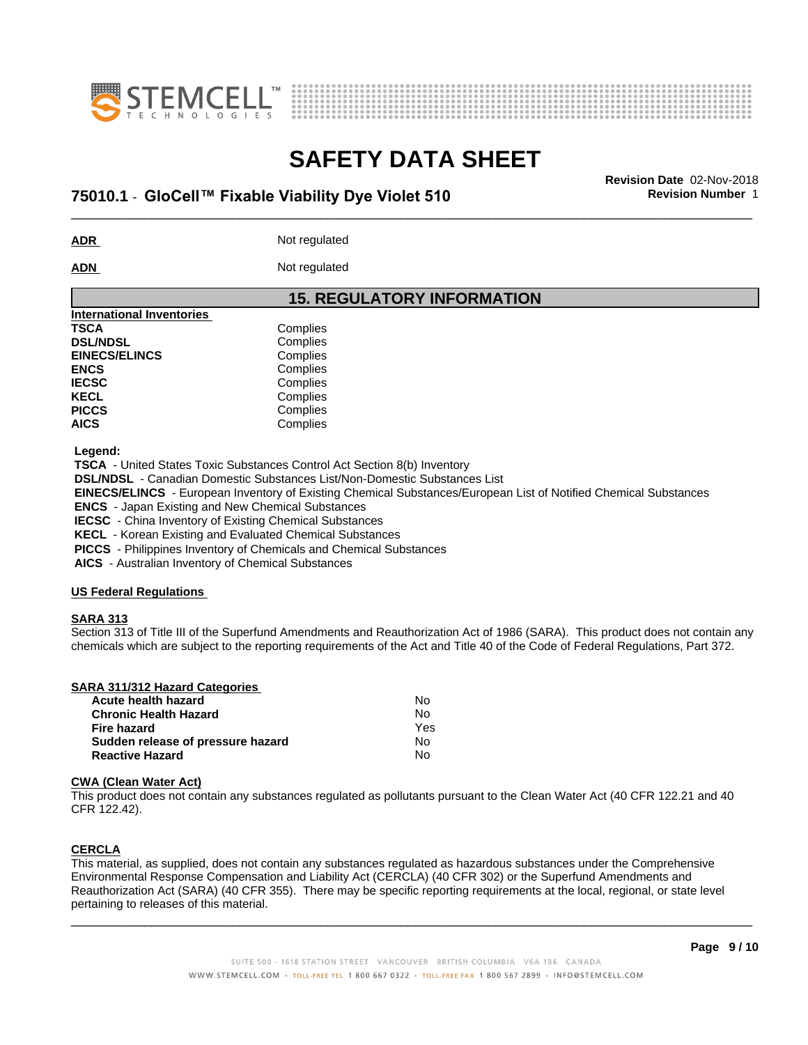



### \_\_\_\_\_\_\_\_\_\_\_\_\_\_\_\_\_\_\_\_\_\_\_\_\_\_\_\_\_\_\_\_\_\_\_\_\_\_\_\_\_\_\_\_\_\_\_\_\_\_\_\_\_\_\_\_\_\_\_\_\_\_\_\_\_\_\_\_\_\_\_\_\_\_\_\_\_\_\_\_\_\_\_\_\_\_\_\_\_\_\_\_\_ **Revision Date** 02-Nov-2018 **75010.1** - **GloCell™ FixableViabilityDyeViolet510 Revision Number** 1

**ADR** Not regulated

ADN Not regulated

### **15. REGULATORY INFORMATION**

| <b>International Inventories</b> |          |  |
|----------------------------------|----------|--|
| <b>TSCA</b>                      | Complies |  |
| <b>DSL/NDSL</b>                  | Complies |  |
| <b>EINECS/ELINCS</b>             | Complies |  |
| <b>ENCS</b>                      | Complies |  |
| <b>IECSC</b>                     | Complies |  |
| <b>KECL</b>                      | Complies |  |
| <b>PICCS</b>                     | Complies |  |
| <b>AICS</b>                      | Complies |  |
|                                  |          |  |

 **Legend:**

 **TSCA** - United States Toxic Substances Control Act Section 8(b) Inventory

 **DSL/NDSL** - Canadian Domestic Substances List/Non-Domestic Substances List

 **EINECS/ELINCS** - European Inventory of Existing Chemical Substances/European List of Notified Chemical Substances

 **ENCS** - Japan Existing and New Chemical Substances

 **IECSC** - China Inventory of Existing Chemical Substances

 **KECL** - Korean Existing and Evaluated Chemical Substances

 **PICCS** - Philippines Inventory of Chemicals and Chemical Substances

 **AICS** - Australian Inventory of Chemical Substances

### **US Federal Regulations**

### **SARA 313**

Section 313 of Title III of the Superfund Amendments and Reauthorization Act of 1986 (SARA). This product does not contain any chemicals which are subject to the reporting requirements of the Act and Title 40 of the Code of Federal Regulations, Part 372.

| SARA 311/312 Hazard Categories |    |  |
|--------------------------------|----|--|
| Acute health hazard            | Nc |  |
| Chronic Hoalth Hazard          | Ν۱ |  |

| 70000 110010 11010 1              |     |  |
|-----------------------------------|-----|--|
| Chronic Health Hazard             | N٥  |  |
| Fire hazard                       | Yes |  |
| Sudden release of pressure hazard | N٥  |  |
| <b>Reactive Hazard</b>            | N٥  |  |
|                                   |     |  |

### **CWA** (Clean Water Act)

This product does not contain any substances regulated as pollutants pursuant to the Clean Water Act (40 CFR 122.21 and 40 CFR 122.42).

### **CERCLA**

This material, as supplied, does not contain any substances regulated as hazardous substances under the Comprehensive Environmental Response Compensation and Liability Act (CERCLA) (40 CFR 302) or the Superfund Amendments and Reauthorization Act (SARA) (40 CFR 355). There may be specific reporting requirements at the local, regional, or state level pertaining to releases of this material.